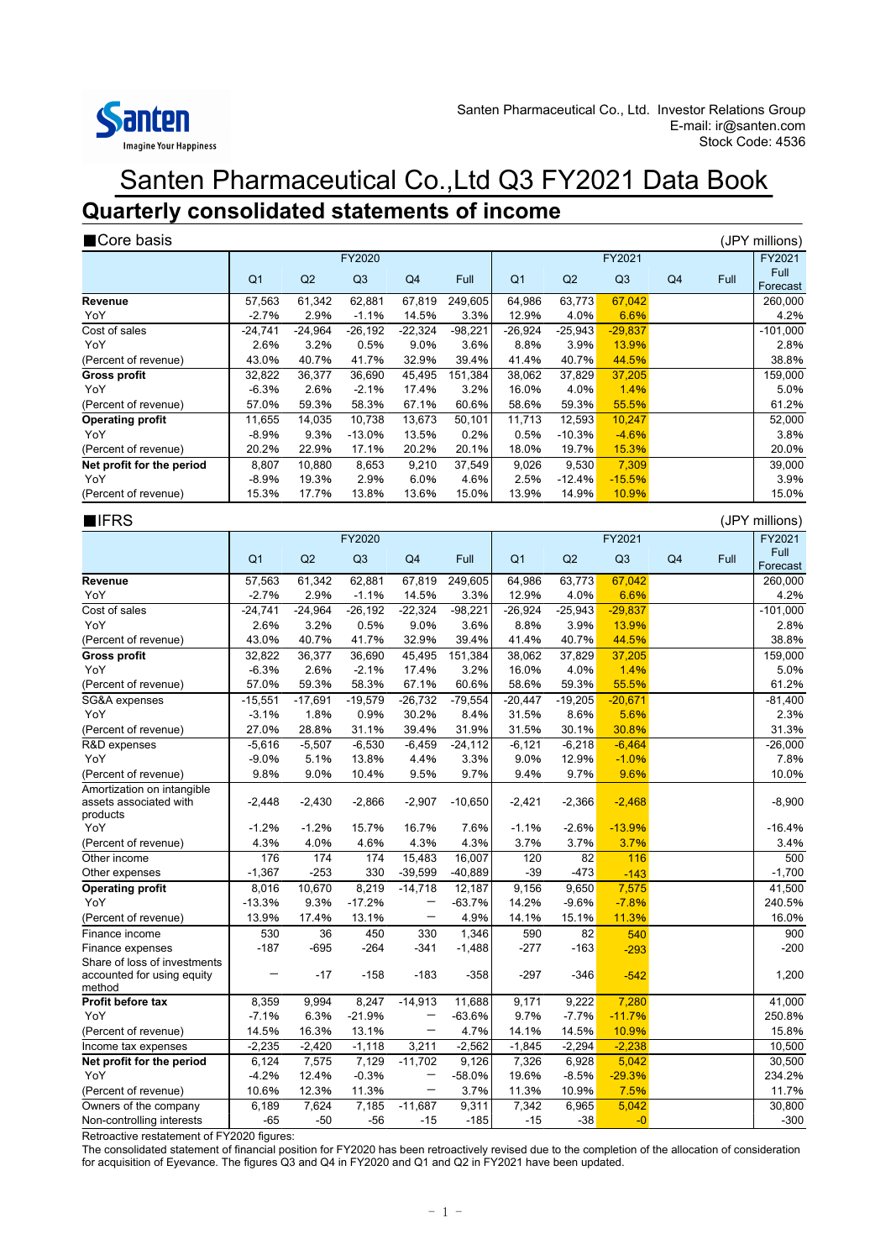

## Santen Pharmaceutical Co.,Ltd Q3 FY2021 Data Book **Quarterly consolidated statements of income**

| Core basis                                                       |                   |                |                   |                          |                 |                 |                |                |    |      | (JPY millions)   |  |  |
|------------------------------------------------------------------|-------------------|----------------|-------------------|--------------------------|-----------------|-----------------|----------------|----------------|----|------|------------------|--|--|
|                                                                  | FY2020            |                |                   |                          |                 |                 |                | FY2021         |    |      | FY2021           |  |  |
|                                                                  | Q1                | Q2             | Q3                | Q <sub>4</sub>           | Full            | Q <sub>1</sub>  | Q2             | Q3             | Q4 | Full | Full<br>Forecast |  |  |
| Revenue                                                          | 57,563            | 61,342         | 62,881            | 67,819                   | 249,605         | 64,986          | 63,773         | 67,042         |    |      | 260,000          |  |  |
| YoY                                                              | $-2.7%$           | 2.9%           | $-1.1%$           | 14.5%                    | 3.3%            | 12.9%           | 4.0%           | 6.6%           |    |      | 4.2%             |  |  |
| Cost of sales                                                    | $-24,741$         | $-24,964$      | $-26,192$         | $-22,324$                | $-98,221$       | $-26.924$       | $-25,943$      | $-29,837$      |    |      | $-101,000$       |  |  |
| YoY                                                              | 2.6%              | 3.2%           | 0.5%              | 9.0%                     | 3.6%            | 8.8%            | 3.9%           | 13.9%          |    |      | 2.8%             |  |  |
| (Percent of revenue)                                             | 43.0%             | 40.7%          | 41.7%             | 32.9%                    | 39.4%           | 41.4%           | 40.7%          | 44.5%          |    |      | 38.8%            |  |  |
| <b>Gross profit</b><br>YoY                                       | 32,822<br>$-6.3%$ | 36,377<br>2.6% | 36,690<br>$-2.1%$ | 45,495<br>17.4%          | 151,384<br>3.2% | 38,062<br>16.0% | 37,829<br>4.0% | 37,205<br>1.4% |    |      | 159,000<br>5.0%  |  |  |
| (Percent of revenue)                                             | 57.0%             | 59.3%          | 58.3%             | 67.1%                    | 60.6%           | 58.6%           | 59.3%          | 55.5%          |    |      | 61.2%            |  |  |
| <b>Operating profit</b>                                          | 11,655            | 14,035         | 10,738            | 13,673                   | 50,101          | 11,713          | 12,593         | 10,247         |    |      | 52,000           |  |  |
| YoY                                                              | $-8.9%$           | 9.3%           | $-13.0%$          | 13.5%                    | 0.2%            | 0.5%            | $-10.3%$       | $-4.6%$        |    |      | 3.8%             |  |  |
| (Percent of revenue)                                             | 20.2%             | 22.9%          | 17.1%             | 20.2%                    | 20.1%           | 18.0%           | 19.7%          | 15.3%          |    |      | 20.0%            |  |  |
| Net profit for the period                                        | 8,807             | 10,880         | 8,653             | 9,210                    | 37,549          | 9,026           | 9,530          | 7,309          |    |      | 39,000           |  |  |
| YoY                                                              | $-8.9%$           | 19.3%          | 2.9%              | 6.0%                     | 4.6%            | 2.5%            | $-12.4%$       | $-15.5%$       |    |      | 3.9%             |  |  |
| (Percent of revenue)                                             | 15.3%             | 17.7%          | 13.8%             | 13.6%                    | 15.0%           | 13.9%           | 14.9%          | 10.9%          |    |      | 15.0%            |  |  |
| <b>NIFRS</b><br>(JPY millions)                                   |                   |                |                   |                          |                 |                 |                |                |    |      |                  |  |  |
|                                                                  |                   |                | FY2020            |                          |                 |                 |                | FY2021         |    |      | FY2021           |  |  |
|                                                                  | Q <sub>1</sub>    | Q2             | Q3                | Q4                       | Full            | Q <sub>1</sub>  | Q2             | Q3             | Q4 | Full | Full<br>Forecast |  |  |
| Revenue                                                          | 57,563            | 61,342         | 62,881            | 67.819                   | 249,605         | 64,986          | 63,773         | 67,042         |    |      | 260,000          |  |  |
| YoY                                                              | $-2.7%$           | 2.9%           | $-1.1%$           | 14.5%                    | 3.3%            | 12.9%           | 4.0%           | 6.6%           |    |      | 4.2%             |  |  |
| Cost of sales                                                    | $-24,741$         | $-24,964$      | $-26,192$         | $-22,324$                | $-98,221$       | $-26,924$       | $-25,943$      | $-29,837$      |    |      | $-101,000$       |  |  |
| YoY                                                              | 2.6%              | 3.2%           | 0.5%              | 9.0%                     | 3.6%            | 8.8%            | 3.9%           | 13.9%          |    |      | 2.8%             |  |  |
| (Percent of revenue)                                             | 43.0%             | 40.7%          | 41.7%             | 32.9%                    | 39.4%           | 41.4%           | 40.7%          | 44.5%          |    |      | 38.8%<br>159,000 |  |  |
| Gross profit<br>YoY                                              | 32,822<br>$-6.3%$ | 36,377<br>2.6% | 36,690<br>$-2.1%$ | 45,495<br>17.4%          | 151,384<br>3.2% | 38,062<br>16.0% | 37,829<br>4.0% | 37,205<br>1.4% |    |      | 5.0%             |  |  |
| (Percent of revenue)                                             | 57.0%             | 59.3%          | 58.3%             | 67.1%                    | 60.6%           | 58.6%           | 59.3%          | 55.5%          |    |      | 61.2%            |  |  |
| SG&A expenses                                                    | $-15,551$         | $-17,691$      | $-19,579$         | $-26,732$                | $-79,554$       | $-20,447$       | $-19,205$      | $-20,671$      |    |      | $-81,400$        |  |  |
| YoY                                                              | $-3.1%$           | 1.8%           | 0.9%              | 30.2%                    | 8.4%            | 31.5%           | 8.6%           | 5.6%           |    |      | 2.3%             |  |  |
| (Percent of revenue)                                             | 27.0%             | 28.8%          | 31.1%             | 39.4%                    | 31.9%           | 31.5%           | 30.1%          | 30.8%          |    |      | 31.3%            |  |  |
| R&D expenses                                                     | $-5,616$          | $-5,507$       | $-6,530$          | $-6,459$                 | $-24,112$       | $-6,121$        | $-6,218$       | $-6,464$       |    |      | $-26,000$        |  |  |
| YoY                                                              | $-9.0%$           | 5.1%           | 13.8%             | 4.4%                     | 3.3%            | 9.0%            | 12.9%          | $-1.0%$        |    |      | 7.8%             |  |  |
| (Percent of revenue)                                             | 9.8%              | 9.0%           | 10.4%             | 9.5%                     | 9.7%            | 9.4%            | 9.7%           | 9.6%           |    |      | 10.0%            |  |  |
| Amortization on intangible<br>assets associated with<br>products | $-2,448$          | $-2,430$       | $-2,866$          | $-2,907$                 | $-10,650$       | $-2,421$        | $-2,366$       | $-2,468$       |    |      | $-8,900$         |  |  |
| YoY                                                              | $-1.2%$           | $-1.2%$        | 15.7%             | 16.7%                    | 7.6%            | $-1.1%$         | $-2.6%$        | $-13.9%$       |    |      | $-16.4%$         |  |  |
| (Percent of revenue)                                             | 4.3%              | 4.0%           | 4.6%              | 4.3%                     | 4.3%            | 3.7%            | 3.7%           | 3.7%           |    |      | 3.4%             |  |  |
| Other income                                                     | 176               | 174            | 174               | 15,483                   | 16,007          | 120             | 82             | 116            |    |      | 500              |  |  |
| Other expenses                                                   | $-1,367$          | $-253$         | 330               | $-39,599$                | $-40,889$       | $-39$           | $-473$         | $-143$         |    |      | $-1,700$         |  |  |
| Operating profit                                                 | 8,016             | 10,670         | 8,219             | $-14,718$                | 12,187          | 9,156           | 9,650          | 7,575          |    |      | 41,500           |  |  |
| YoY                                                              | $-13.3%$          | 9.3%           | $-17.2%$          |                          | $-63.7%$        | 14.2%           | $-9.6%$        | $-7.8%$        |    |      | 240.5%           |  |  |
| (Percent of revenue)                                             | 13.9%             | 17.4%          | 13.1%             |                          | 4.9%            | 14.1%           | 15.1%          | 11.3%          |    |      | 16.0%            |  |  |
| Finance income                                                   | 530               | 36             | 450               | 330                      | 1,346           | 590             | 82             | 540            |    |      | 900              |  |  |
| Finance expenses<br>Share of loss of investments                 | $-187$            | -695           | -264              | -341                     | $-1,488$        | -277            | $-163$         | $-293$         |    |      | -200             |  |  |
| accounted for using equity<br>method                             |                   | $-17$          | $-158$            | $-183$                   | $-358$          | -297            | $-346$         | $-542$         |    |      | 1,200            |  |  |
| Profit before tax                                                | 8,359             | 9,994          | 8,247             | $-14,913$                | 11,688          | 9,171           | 9,222          | 7,280          |    |      | 41,000           |  |  |
| YoY                                                              | $-7.1%$           | 6.3%           | $-21.9%$          |                          | $-63.6%$        | 9.7%            | $-7.7%$        | $-11.7%$       |    |      | 250.8%           |  |  |
| (Percent of revenue)                                             | 14.5%             | 16.3%          | 13.1%             | $\overline{\phantom{0}}$ | 4.7%            | 14.1%           | 14.5%          | 10.9%          |    |      | 15.8%            |  |  |
| Income tax expenses                                              | $-2,235$          | $-2,420$       | $-1,118$          | 3,211                    | $-2,562$        | $-1,845$        | $-2,294$       | $-2,238$       |    |      | 10,500           |  |  |
| Net profit for the period                                        | 6,124             | 7,575          | 7,129             | $-11,702$                | 9,126           | 7,326           | 6,928          | 5,042          |    |      | 30,500           |  |  |
| YoY                                                              | $-4.2%$           | 12.4%          | $-0.3%$           |                          | $-58.0%$        | 19.6%           | $-8.5%$        | $-29.3%$       |    |      | 234.2%           |  |  |
| (Percent of revenue)<br>Owners of the company                    | 10.6%             | 12.3%          | 11.3%             | —                        | 3.7%            | 11.3%           | 10.9%          | 7.5%           |    |      | 11.7%<br>30,800  |  |  |
| Non-controlling interests                                        | 6,189<br>-65      | 7,624<br>-50   | 7,185<br>$-56$    | $-11,687$<br>$-15$       | 9,311<br>$-185$ | 7,342<br>$-15$  | 6,965<br>$-38$ | 5,042<br>$-0$  |    |      | $-300$           |  |  |

Retroactive restatement of FY2020 figures:

The consolidated statement of financial position for FY2020 has been retroactively revised due to the completion of the allocation of consideration for acquisition of Eyevance. The figures Q3 and Q4 in FY2020 and Q1 and Q2 in FY2021 have been updated.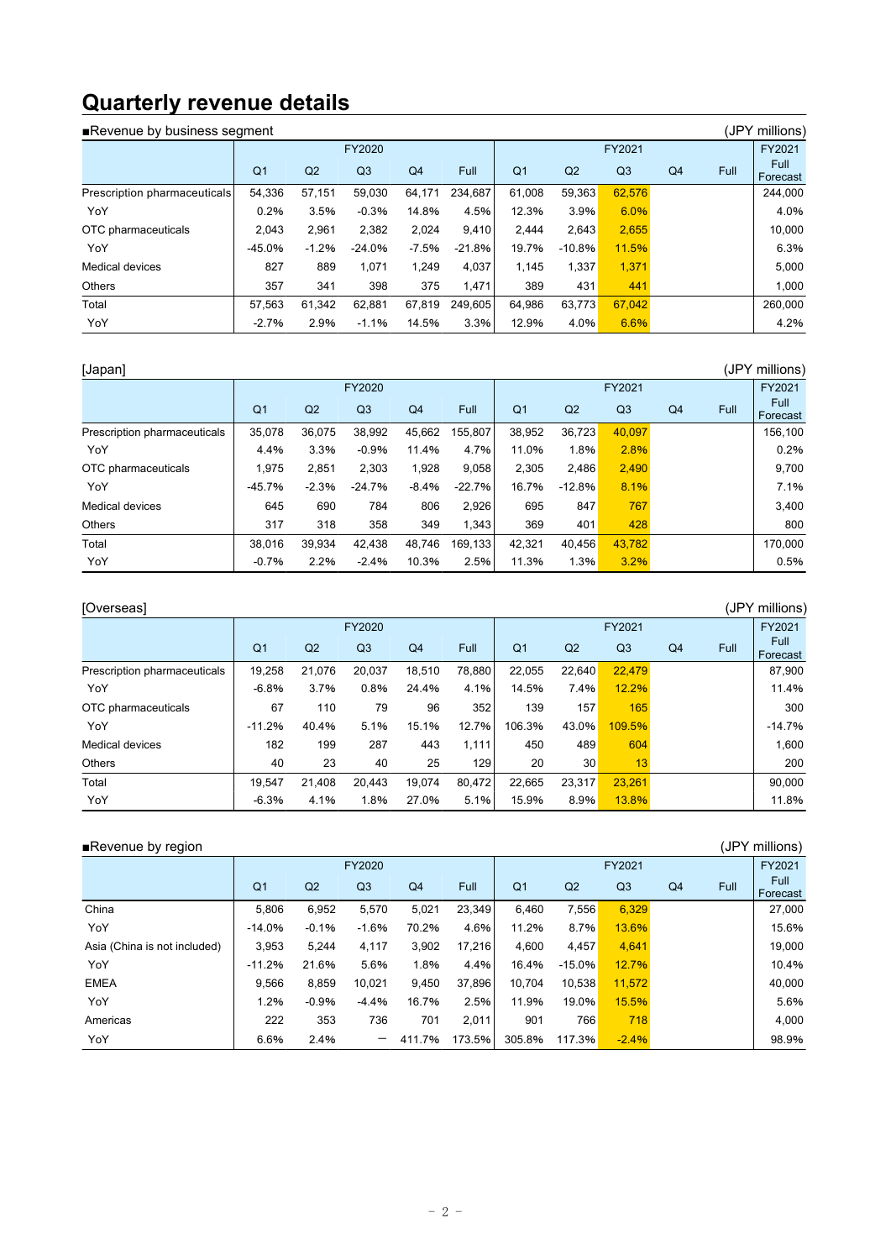# **Quarterly revenue details**

| (JPY millions)<br>Revenue by business segment |                |                |                |         |          |                |                |                |                |      |                  |  |  |  |
|-----------------------------------------------|----------------|----------------|----------------|---------|----------|----------------|----------------|----------------|----------------|------|------------------|--|--|--|
|                                               |                |                |                | FY2021  |          |                | FY2021         |                |                |      |                  |  |  |  |
|                                               | Q <sub>1</sub> | Q <sub>2</sub> | Q <sub>3</sub> | Q4      | Full     | Q <sub>1</sub> | Q <sub>2</sub> | Q <sub>3</sub> | Q <sub>4</sub> | Full | Full<br>Forecast |  |  |  |
| Prescription pharmaceuticals                  | 54,336         | 57.151         | 59.030         | 64,171  | 234.687  | 61.008         | 59,363         | 62,576         |                |      | 244.000          |  |  |  |
| YoY                                           | 0.2%           | 3.5%           | $-0.3%$        | 14.8%   | 4.5%     | 12.3%          | 3.9%           | 6.0%           |                |      | 4.0%             |  |  |  |
| OTC pharmaceuticals                           | 2.043          | 2,961          | 2,382          | 2,024   | 9,410    | 2.444          | 2,643          | 2,655          |                |      | 10.000           |  |  |  |
| YoY                                           | $-45.0%$       | $-1.2%$        | $-24.0%$       | $-7.5%$ | $-21.8%$ | 19.7%          | $-10.8%$       | 11.5%          |                |      | 6.3%             |  |  |  |
| Medical devices                               | 827            | 889            | 1.071          | 1.249   | 4,037    | 1.145          | 1,337          | 1,371          |                |      | 5,000            |  |  |  |
| <b>Others</b>                                 | 357            | 341            | 398            | 375     | 1.471    | 389            | 431            | 441            |                |      | 1.000            |  |  |  |
| Total                                         | 57,563         | 61,342         | 62.881         | 67,819  | 249.605  | 64,986         | 63,773         | 67,042         |                |      | 260,000          |  |  |  |
| YoY                                           | $-2.7%$        | 2.9%           | $-1.1%$        | 14.5%   | 3.3%     | 12.9%          | 4.0%           | 6.6%           |                |      | 4.2%             |  |  |  |

| [Japan]                      |                |                |                |                |          |                |                |                |                |      | (JPY millions)   |
|------------------------------|----------------|----------------|----------------|----------------|----------|----------------|----------------|----------------|----------------|------|------------------|
|                              |                |                | FY2020         |                |          | FY2021         |                |                |                |      | FY2021           |
|                              | Q <sub>1</sub> | Q <sub>2</sub> | Q <sub>3</sub> | Q <sub>4</sub> | Full     | Q <sub>1</sub> | Q <sub>2</sub> | Q <sub>3</sub> | Q <sub>4</sub> | Full | Full<br>Forecast |
| Prescription pharmaceuticals | 35,078         | 36,075         | 38,992         | 45,662         | 155,807  | 38,952         | 36,723         | 40,097         |                |      | 156,100          |
| YoY                          | 4.4%           | 3.3%           | $-0.9%$        | 11.4%          | 4.7%     | 11.0%          | 1.8%           | 2.8%           |                |      | 0.2%             |
| OTC pharmaceuticals          | 1,975          | 2,851          | 2,303          | 1,928          | 9,058    | 2,305          | 2,486          | 2,490          |                |      | 9,700            |
| YoY                          | $-45.7%$       | $-2.3%$        | $-24.7%$       | $-8.4%$        | $-22.7%$ | 16.7%          | $-12.8%$       | 8.1%           |                |      | 7.1%             |
| Medical devices              | 645            | 690            | 784            | 806            | 2,926    | 695            | 847            | 767            |                |      | 3,400            |
| <b>Others</b>                | 317            | 318            | 358            | 349            | 1,343    | 369            | 401            | 428            |                |      | 800              |
| Total                        | 38.016         | 39,934         | 42,438         | 48.746         | 169.1331 | 42,321         | 40.456         | 43.782         |                |      | 170.000          |
| YoY                          | $-0.7%$        | 2.2%           | $-2.4%$        | 10.3%          | 2.5%     | 11.3%          | 1.3%           | 3.2%           |                |      | 0.5%             |

| [Overseas]                   |                |                |                |                |        |                |                |                |                |      | (JPY millions)   |
|------------------------------|----------------|----------------|----------------|----------------|--------|----------------|----------------|----------------|----------------|------|------------------|
|                              | FY2020         |                |                |                |        | FY2021         |                |                |                |      | FY2021           |
|                              | Q <sub>1</sub> | Q <sub>2</sub> | Q <sub>3</sub> | Q <sub>4</sub> | Full   | Q <sub>1</sub> | Q <sub>2</sub> | Q <sub>3</sub> | Q <sub>4</sub> | Full | Full<br>Forecast |
| Prescription pharmaceuticals | 19,258         | 21,076         | 20.037         | 18.510         | 78,880 | 22.055         | 22,640         | 22,479         |                |      | 87,900           |
| YoY                          | $-6.8%$        | 3.7%           | 0.8%           | 24.4%          | 4.1%   | 14.5%          | 7.4%           | 12.2%          |                |      | 11.4%            |
| OTC pharmaceuticals          | 67             | 110            | 79             | 96             | 352    | 139            | 157            | 165            |                |      | 300              |
| YoY                          | $-11.2%$       | 40.4%          | 5.1%           | 15.1%          | 12.7%  | 106.3%         | 43.0%          | 109.5%         |                |      | $-14.7%$         |
| <b>Medical devices</b>       | 182            | 199            | 287            | 443            | 1,111  | 450            | 489            | 604            |                |      | 1.600            |
| <b>Others</b>                | 40             | 23             | 40             | 25             | 129    | 20             | 30             | 13             |                |      | 200              |
| Total                        | 19.547         | 21.408         | 20.443         | 19.074         | 80.472 | 22.665         | 23.317         | 23.261         |                |      | 90.000           |
| YoY                          | $-6.3%$        | 4.1%           | 1.8%           | 27.0%          | 5.1%   | 15.9%          | 8.9%           | 13.8%          |                |      | 11.8%            |

| $\blacksquare$ Revenue by region |                |         |                          |                |             |                |                |                |                |      | (JPY millions)   |
|----------------------------------|----------------|---------|--------------------------|----------------|-------------|----------------|----------------|----------------|----------------|------|------------------|
|                                  | FY2020         |         |                          |                |             | FY2021         |                |                |                |      | FY2021           |
|                                  | Q <sub>1</sub> | Q2      | Q <sub>3</sub>           | Q <sub>4</sub> | <b>Full</b> | Q <sub>1</sub> | Q <sub>2</sub> | Q <sub>3</sub> | Q <sub>4</sub> | Full | Full<br>Forecast |
| China                            | 5,806          | 6,952   | 5,570                    | 5,021          | 23.349      | 6,460          | 7,556          | 6,329          |                |      | 27,000           |
| YoY                              | $-14.0%$       | $-0.1%$ | $-1.6%$                  | 70.2%          | 4.6%        | 11.2%          | 8.7%           | 13.6%          |                |      | 15.6%            |
| Asia (China is not included)     | 3,953          | 5.244   | 4,117                    | 3,902          | 17.216      | 4,600          | 4,457          | 4,641          |                |      | 19,000           |
| YoY                              | $-11.2%$       | 21.6%   | 5.6%                     | 1.8%           | 4.4%        | 16.4%          | $-15.0%$       | 12.7%          |                |      | 10.4%            |
| <b>EMEA</b>                      | 9.566          | 8,859   | 10.021                   | 9,450          | 37.896      | 10.704         | 10,538         | 11.572         |                |      | 40.000           |
| YoY                              | 1.2%           | $-0.9%$ | $-4.4%$                  | 16.7%          | 2.5%        | 11.9%          | 19.0%          | 15.5%          |                |      | 5.6%             |
| Americas                         | 222            | 353     | 736                      | 701            | 2,011       | 901            | 766            | 718            |                |      | 4,000            |
| YoY                              | 6.6%           | 2.4%    | $\overline{\phantom{m}}$ | 411.7%         | 173.5%      | 305.8%         | 117.3%         | $-2.4%$        |                |      | 98.9%            |